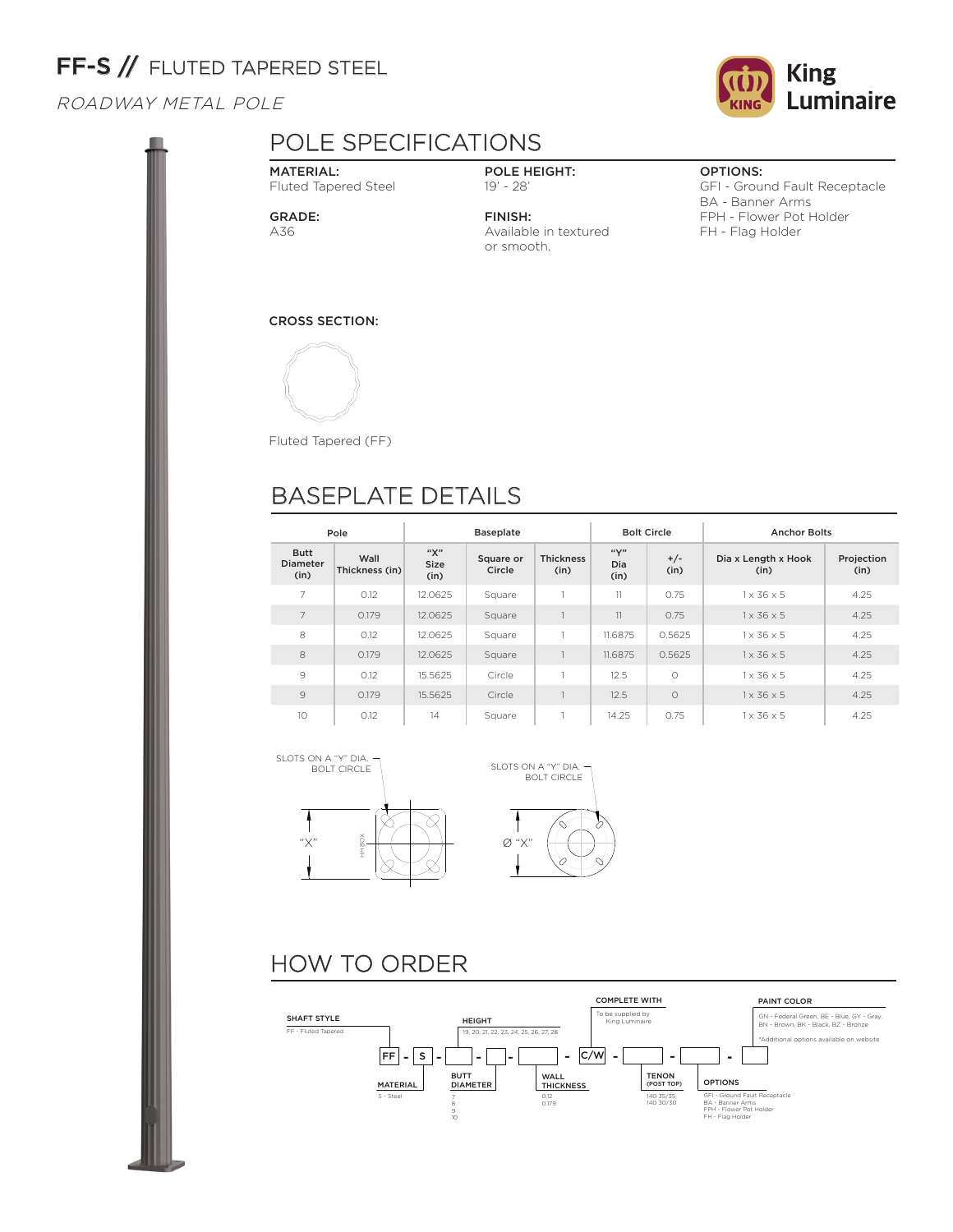# FF-S // FLUTED TAPERED STEEL

### ROADWAY METAL POLE

### POLE SPECIFICATIONS

MATERIAL: Fluted Tapered Steel

GRADE: A36

### POLE HEIGHT: 19' - 28'

FINISH: Available in textured or smooth.

### OPTIONS:

GFI - Ground Fault Receptacle BA - Banner Arms FPH - Flower Pot Holder FH - Flag Holder

CROSS SECTION:



Fluted Tapered (FF)

## BASEPLATE DETAILS

| Pole                                   |                        |                     | <b>Baseplate</b>    |                          |                                                                            | <b>Bolt Circle</b> | <b>Anchor Bolts</b>    |      |  |
|----------------------------------------|------------------------|---------------------|---------------------|--------------------------|----------------------------------------------------------------------------|--------------------|------------------------|------|--|
| <b>Butt</b><br><b>Diameter</b><br>(in) | Wall<br>Thickness (in) | "Х"<br>Size<br>(in) | Square or<br>Circle | <b>Thickness</b><br>(in) | ``Y"<br>$+/-$<br>Dia x Length x Hook<br><b>Dia</b><br>(in)<br>(in)<br>(in) |                    | Projection<br>(in)     |      |  |
| 7                                      | 0.12                   | 12.0625             | Square              |                          | 11                                                                         | 0.75               | $1 \times 36 \times 5$ | 4.25 |  |
| $\overline{7}$                         | 0.179                  | 12.0625             | Square              |                          | 11                                                                         | 0.75               | $1 \times 36 \times 5$ | 4.25 |  |
| 8                                      | 0.12                   | 12.0625             | Square              |                          | 11.6875                                                                    | 0.5625             | $1 \times 36 \times 5$ | 4.25 |  |
| 8                                      | 0.179                  | 12.0625             | Square              |                          | 11.6875                                                                    | 0.5625             | $1 \times 36 \times 5$ | 4.25 |  |
| 9                                      | 0.12                   | 15.5625             | Circle              |                          | 12.5                                                                       | $\bigcirc$         | $1 \times 36 \times 5$ | 4.25 |  |
| 9                                      | 0.179                  | 15.5625             | Circle              |                          | 12.5                                                                       | $\circ$            | $1 \times 36 \times 5$ | 4.25 |  |
| 10                                     | 0.12                   | 14                  | Square              |                          | 14.25                                                                      | 0.75               | $1 \times 36 \times 5$ | 4.25 |  |





# HOW TO ORDER



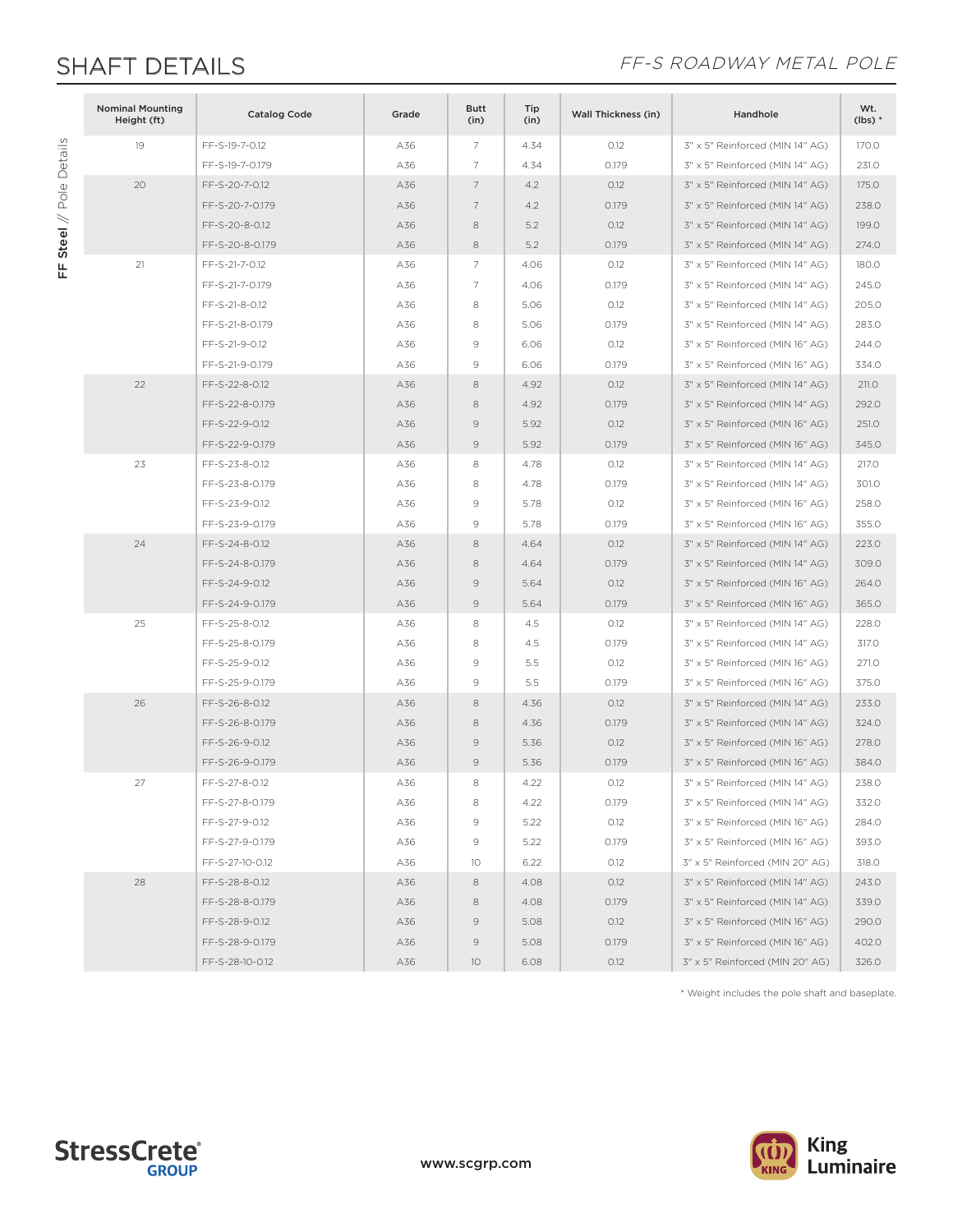FF Steel // Pole Details

FF Steel // Pole Details

### SHAFT DETAILS **SHAFT DETAILS**

| <b>Nominal Mounting</b><br>Height (ft) | <b>Catalog Code</b> | Grade | <b>Butt</b><br>(in) | Tip<br>(in) | <b>Wall Thickness (in)</b> | Handhole                        | Wt.<br>$(lbs)*$ |
|----------------------------------------|---------------------|-------|---------------------|-------------|----------------------------|---------------------------------|-----------------|
| 19                                     | FF-S-19-7-0.12      | A36   | 7                   | 4.34        | O.12                       | 3" x 5" Reinforced (MIN 14" AG) | 170.0           |
|                                        | FF-S-19-7-0.179     | A36   | 7                   | 4.34        | 0.179                      | 3" x 5" Reinforced (MIN 14" AG) | 231.0           |
| 20                                     | FF-S-20-7-0.12      | A36   | 7                   | 4.2         | 0.12                       | 3" x 5" Reinforced (MIN 14" AG) | 175.0           |
|                                        | FF-S-20-7-0.179     | A36   | 7                   | 4.2         | 0.179                      | 3" x 5" Reinforced (MIN 14" AG) | 238.0           |
|                                        | FF-S-20-8-0.12      | A36   | 8                   | 5.2         | 0.12                       | 3" x 5" Reinforced (MIN 14" AG) | 199.0           |
|                                        | FF-S-20-8-0.179     | A36   | 8                   | 5.2         | 0.179                      | 3" x 5" Reinforced (MIN 14" AG) | 274.0           |
| 21                                     | FF-S-21-7-0.12      | A36   | 7                   | 4.06        | 0.12                       | 3" x 5" Reinforced (MIN 14" AG) | 180.0           |
|                                        | FF-S-21-7-0.179     | A36   | 7                   | 4.06        | 0.179                      | 3" x 5" Reinforced (MIN 14" AG) | 245.0           |
|                                        | FF-S-21-8-0.12      | A36   | 8                   | 5.06        | 0.12                       | 3" x 5" Reinforced (MIN 14" AG) | 205.0           |
|                                        | FF-S-21-8-0.179     | A36   | 8                   | 5.06        | 0.179                      | 3" x 5" Reinforced (MIN 14" AG) | 283.0           |
|                                        | FF-S-21-9-0.12      | A36   | 9                   | 6.06        | 0.12                       | 3" x 5" Reinforced (MIN 16" AG) | 244.0           |
|                                        | FF-S-21-9-0.179     | A36   | $\mathcal{G}$       | 6.06        | 0.179                      | 3" x 5" Reinforced (MIN 16" AG) | 334.0           |
| 22                                     | FF-S-22-8-0.12      | A36   | 8                   | 4.92        | O.12                       | 3" x 5" Reinforced (MIN 14" AG) | 211.0           |
|                                        | FF-S-22-8-0.179     | A36   | 8                   | 4.92        | 0.179                      | 3" x 5" Reinforced (MIN 14" AG) | 292.0           |
|                                        | FF-S-22-9-0.12      | A36   | 9                   | 5.92        | 0.12                       | 3" x 5" Reinforced (MIN 16" AG) | 251.0           |
|                                        | FF-S-22-9-0.179     | A36   | $\mathcal{G}$       | 5.92        | 0.179                      | 3" x 5" Reinforced (MIN 16" AG) | 345.0           |
| 23                                     | FF-S-23-8-0.12      | A36   | 8                   | 4.78        | 0.12                       | 3" x 5" Reinforced (MIN 14" AG) | 217.0           |
|                                        | FF-S-23-8-0.179     | A36   | 8                   | 4.78        | 0.179                      | 3" x 5" Reinforced (MIN 14" AG) | 301.0           |
|                                        | FF-S-23-9-0.12      | A36   | 9                   | 5.78        | 0.12                       | 3" x 5" Reinforced (MIN 16" AG) | 258.0           |
|                                        | FF-S-23-9-0.179     | A36   | $\mathcal{G}$       | 5.78        | 0.179                      | 3" x 5" Reinforced (MIN 16" AG) | 355.0           |
| 24                                     | FF-S-24-8-0.12      | A36   | 8                   | 4.64        | 0.12                       | 3" x 5" Reinforced (MIN 14" AG) | 223.0           |
|                                        | FF-S-24-8-0.179     | A36   | 8                   | 4.64        | 0.179                      | 3" x 5" Reinforced (MIN 14" AG) | 309.0           |
|                                        | FF-S-24-9-0.12      | A36   | $\mathcal{G}$       | 5.64        | O.12                       | 3" x 5" Reinforced (MIN 16" AG) | 264.0           |
|                                        | FF-S-24-9-0.179     | A36   | $\mathcal{Q}$       | 5.64        | 0.179                      | 3" x 5" Reinforced (MIN 16" AG) | 365.0           |
| 25                                     | FF-S-25-8-0.12      | A36   | 8                   | 4.5         | 0.12                       | 3" x 5" Reinforced (MIN 14" AG) | 228.0           |
|                                        | FF-S-25-8-0.179     | A36   | 8                   | 4.5         | 0.179                      | 3" x 5" Reinforced (MIN 14" AG) | 317.0           |
|                                        | FF-S-25-9-0.12      | A36   | $\mathcal{G}$       | 5.5         | 0.12                       | 3" x 5" Reinforced (MIN 16" AG) | 271.0           |
|                                        | FF-S-25-9-0.179     | A36   | $\mathcal{G}$       | 5.5         | 0.179                      | 3" x 5" Reinforced (MIN 16" AG) | 375.0           |
| 26                                     | FF-S-26-8-0.12      | A36   | 8                   | 4.36        | 0.12                       | 3" x 5" Reinforced (MIN 14" AG) | 233.0           |
|                                        | FF-S-26-8-0.179     | A36   | 8                   | 4.36        | 0.179                      | 3" x 5" Reinforced (MIN 14" AG) | 324.0           |
|                                        | FF-S-26-9-0.12      | A36   | $\mathcal{G}$       | 5.36        | O.12                       | 3" x 5" Reinforced (MIN 16" AG) | 278.0           |
|                                        | FF-S-26-9-0.179     | A36   | 9                   | 5.36        | 0.179                      | 3" x 5" Reinforced (MIN 16" AG) | 384.0           |
| 27                                     | FF-S-27-8-0.12      | A36   | 8                   | 4.22        | 0.12                       | 3" x 5" Reinforced (MIN 14" AG) | 238.0           |
|                                        | FF-S-27-8-0.179     | A36   | 8                   | 4.22        | 0.179                      | 3" x 5" Reinforced (MIN 14" AG) | 332.0           |
|                                        | FF-S-27-9-0.12      | A36   | 9                   | 5.22        | 0.12                       | 3" x 5" Reinforced (MIN 16" AG) | 284.0           |
|                                        | FF-S-27-9-0.179     | A36   | 9                   | 5.22        | 0.179                      | 3" x 5" Reinforced (MIN 16" AG) | 393.0           |
|                                        | FF-S-27-10-0.12     | A36   | 10                  | 6.22        | 0.12                       | 3" x 5" Reinforced (MIN 20" AG) | 318.0           |
| 28                                     | FF-S-28-8-0.12      | A36   | 8                   | 4.08        | O.12                       | 3" x 5" Reinforced (MIN 14" AG) | 243.0           |
|                                        | FF-S-28-8-0.179     | A36   | 8                   | 4.08        | 0.179                      | 3" x 5" Reinforced (MIN 14" AG) | 339.0           |
|                                        | FF-S-28-9-0.12      | A36   | 9                   | 5.08        | 0.12                       | 3" x 5" Reinforced (MIN 16" AG) | 290.0           |
|                                        | FF-S-28-9-0.179     | A36   | $\circ$             | 5.08        | 0.179                      | 3" x 5" Reinforced (MIN 16" AG) | 402.0           |
|                                        | FF-S-28-10-0.12     | A36   | 10                  | 6.08        | 0.12                       | 3" x 5" Reinforced (MIN 20" AG) | 326.0           |

\* Weight includes the pole shaft and baseplate.



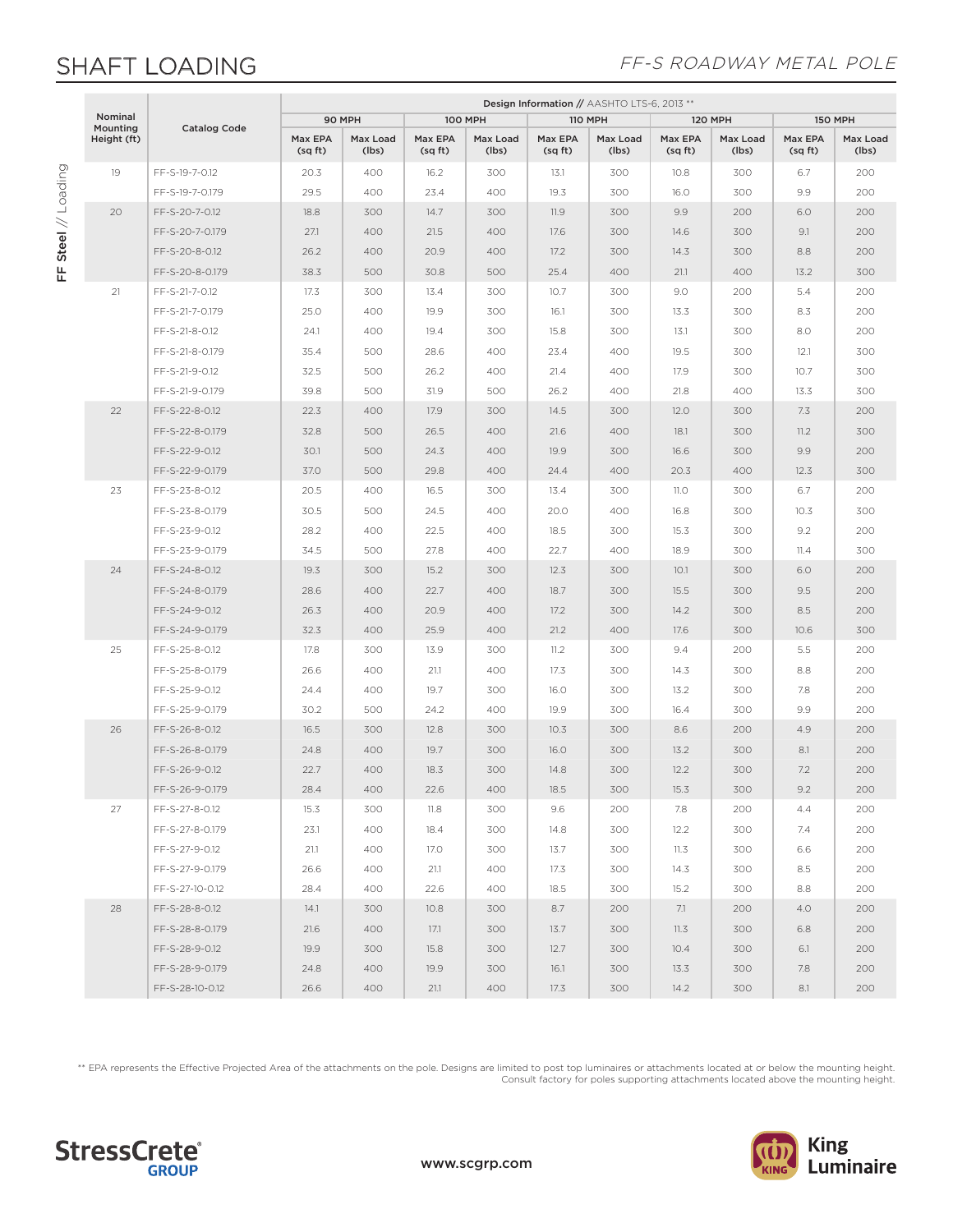## SHAFT LOADING

FF Steel // Loading

FF Steel // Loading

### FF-S ROADWAY METAL POLE

|                     |             |                     |                    | Design Information // AASHTO LTS-6, 2013 ** |                    |                   |                   |                   |                    |                   |                    |                   |  |
|---------------------|-------------|---------------------|--------------------|---------------------------------------------|--------------------|-------------------|-------------------|-------------------|--------------------|-------------------|--------------------|-------------------|--|
| Nominal<br>Mounting |             |                     | 90 MPH             |                                             | <b>100 MPH</b>     |                   | <b>110 MPH</b>    |                   | <b>120 MPH</b>     |                   | <b>150 MPH</b>     |                   |  |
|                     | Height (ft) | <b>Catalog Code</b> | Max EPA<br>(sq ft) | Max Load<br>(lbs)                           | Max EPA<br>(sq ft) | Max Load<br>(lbs) | Max EPA<br>(sqft) | Max Load<br>(lbs) | Max EPA<br>(sq ft) | Max Load<br>(lbs) | Max EPA<br>(sq ft) | Max Load<br>(lbs) |  |
|                     | 19          | FF-S-19-7-0.12      | 20.3               | 400                                         | 16.2               | 300               | 13.1              | 300               | 10.8               | 300               | 6.7                | 200               |  |
|                     |             | FF-S-19-7-0.179     | 29.5               | 400                                         | 23.4               | 400               | 19.3              | 300               | 16.0               | 300               | 9.9                | 200               |  |
|                     | 20          | FF-S-20-7-0.12      | 18.8               | 300                                         | 14.7               | 300               | 11.9              | 300               | 9.9                | 200               | 6.0                | 200               |  |
|                     |             | FF-S-20-7-0.179     | 27.1               | 400                                         | 21.5               | 400               | 17.6              | 300               | 14.6               | 300               | 9.1                | 200               |  |
|                     |             | FF-S-20-8-0.12      | 26.2               | 400                                         | 20.9               | 400               | 17.2              | 300               | 14.3               | 300               | 8.8                | 200               |  |
|                     |             | FF-S-20-8-0.179     | 38.3               | 500                                         | 30.8               | 500               | 25.4              | 400               | 21.1               | 400               | 13.2               | 300               |  |
|                     | 21          | FF-S-21-7-0.12      | 17.3               | 300                                         | 13.4               | 300               | 10.7              | 300               | 9.0                | 200               | 5.4                | 200               |  |
|                     |             | FF-S-21-7-0.179     | 25.0               | 400                                         | 19.9               | 300               | 16.1              | 300               | 13.3               | 300               | 8.3                | 200               |  |
|                     |             | FF-S-21-8-0.12      | 24.1               | 400                                         | 19.4               | 300               | 15.8              | 300               | 13.1               | 300               | 8.0                | 200               |  |
|                     |             | FF-S-21-8-0.179     | 35.4               | 500                                         | 28.6               | 400               | 23.4              | 400               | 19.5               | 300               | 12.1               | 300               |  |
|                     |             | FF-S-21-9-0.12      | 32.5               | 500                                         | 26.2               | 400               | 21.4              | 400               | 17.9               | 300               | 10.7               | 300               |  |
|                     |             | FF-S-21-9-0.179     | 39.8               | 500                                         | 31.9               | 500               | 26.2              | 400               | 21.8               | 400               | 13.3               | 300               |  |
|                     | 22          | FF-S-22-8-0.12      | 22.3               | 400                                         | 17.9               | 300               | 14.5              | 300               | 12.0               | 300               | 7.3                | 200               |  |
|                     |             | FF-S-22-8-0.179     | 32.8               | 500                                         | 26.5               | 400               | 21.6              | 400               | 18.1               | 300               | 11.2               | 300               |  |
|                     |             | FF-S-22-9-0.12      | 30.1               | 500                                         | 24.3               | 400               | 19.9              | 300               | 16.6               | 300               | 9.9                | 200               |  |
|                     |             | FF-S-22-9-0.179     | 37.0               | 500                                         | 29.8               | 400               | 24.4              | 400               | 20.3               | 400               | 12.3               | 300               |  |
|                     | 23          | FF-S-23-8-0.12      | 20.5               | 400                                         | 16.5               | 300               | 13.4              | 300               | 11.O               | 300               | 6.7                | 200               |  |
|                     |             | FF-S-23-8-0.179     | 30.5               | 500                                         | 24.5               | 400               | 20.0              | 400               | 16.8               | 300               | 10.3               | 300               |  |
|                     |             | FF-S-23-9-0.12      | 28.2               | 400                                         | 22.5               | 400               | 18.5              | 300               | 15.3               | 300               | 9.2                | 200               |  |
|                     |             | FF-S-23-9-0.179     | 34.5               | 500                                         | 27.8               | 400               | 22.7              | 400               | 18.9               | 300               | 11.4               | 300               |  |
|                     | 24          | FF-S-24-8-0.12      | 19.3               | 300                                         | 15.2               | 300               | 12.3              | 300               | 10.1               | 300               | 6.0                | 200               |  |
|                     |             | FF-S-24-8-0.179     | 28.6               | 400                                         | 22.7               | 400               | 18.7              | 300               | 15.5               | 300               | 9.5                | 200               |  |
|                     |             | FF-S-24-9-0.12      | 26.3               | 400                                         | 20.9               | 400               | 17.2              | 300               | 14.2               | 300               | 8.5                | 200               |  |
|                     |             | FF-S-24-9-0.179     | 32.3               | 400                                         | 25.9               | 400               | 21.2              | 400               | 17.6               | 300               | 10.6               | 300               |  |
|                     | 25          | FF-S-25-8-0.12      | 17.8               | 300                                         | 13.9               | 300               | 11.2              | 300               | 9.4                | 200               | 5.5                | 200               |  |
|                     |             | FF-S-25-8-0.179     | 26.6               | 400                                         | 21.1               | 400               | 17.3              | 300               | 14.3               | 300               | 8.8                | 200               |  |
|                     |             | FF-S-25-9-0.12      | 24.4               | 400                                         | 19.7               | 300               | 16.0              | 300               | 13.2               | 300               | 7.8                | 200               |  |
|                     |             | FF-S-25-9-0.179     | 30.2               | 500                                         | 24.2               | 400               | 19.9              | 300               | 16.4               | 300               | 9.9                | 200               |  |
|                     | 26          | FF-S-26-8-0.12      | 16.5               | 300                                         | 12.8               | 300               | 10.3              | 300               | 8.6                | 200               | 4.9                | 200               |  |
|                     |             | FF-S-26-8-0.179     | 24.8               | 400                                         | 19.7               | 300               | 16.0              | 300               | 13.2               | 300               | 8.1                | 200               |  |
|                     |             | FF-S-26-9-0.12      | 22.7               | 400                                         | 18.3               | 300               | 14.8              | 300               | 12.2               | 300               | 7.2                | 200               |  |
|                     |             | FF-S-26-9-0.179     | 28.4               | 400                                         | 22.6               | 400               | 18.5              | 300               | 15.3               | 300               | 9.2                | 200               |  |
|                     | 27          | FF-S-27-8-0.12      | 15.3               | 300                                         | 11.8               | 300               | 9.6               | 200               | 7.8                | 200               | 4.4                | 200               |  |
|                     |             | FF-S-27-8-0.179     | 23.1               | 400                                         | 18.4               | 300               | 14.8              | 300               | 12.2               | 300               | 7.4                | 200               |  |
|                     |             | FF-S-27-9-0.12      | 21.1               | 400                                         | 17.0               | 300               | 13.7              | 300               | 11.3               | 300               | 6.6                | 200               |  |
|                     |             | FF-S-27-9-0.179     | 26.6               | 400                                         | 21.1               | 400               | 17.3              | 300               | 14.3               | 300               | 8.5                | 200               |  |
|                     |             | FF-S-27-10-0.12     | 28.4               | 400                                         | 22.6               | 400               | 18.5              | 300               | 15.2               | 300               | 8.8                | 200               |  |
|                     | 28          | FF-S-28-8-0.12      | 14.1               | 300                                         | 10.8               | 300               | 8.7               | 200               | 7.1                | 200               | 4.0                | 200               |  |
|                     |             | FF-S-28-8-0.179     | 21.6               | 400                                         | 17.1               | 300               | 13.7              | 300               | 11.3               | 300               | 6.8                | 200               |  |
|                     |             | FF-S-28-9-0.12      | 19.9               | 300                                         | 15.8               | 300               | 12.7              | 300               | 10.4               | 300               | 6.1                | 200               |  |
|                     |             | FF-S-28-9-0.179     | 24.8               | 400                                         | 19.9               | 300               | 16.1              | 300               | 13.3               | 300               | 7.8                | 200               |  |
|                     |             | FF-S-28-10-0.12     | 26.6               | 400                                         | 21.1               | 400               | 17.3              | 300               | 14.2               | 300               | 8.1                | 200               |  |

\*\* EPA represents the Effective Projected Area of the attachments on the pole. Designs are limited to post top luminaires or attachments located at or below the mounting height. Consult factory for poles supporting attachments located above the mounting height.